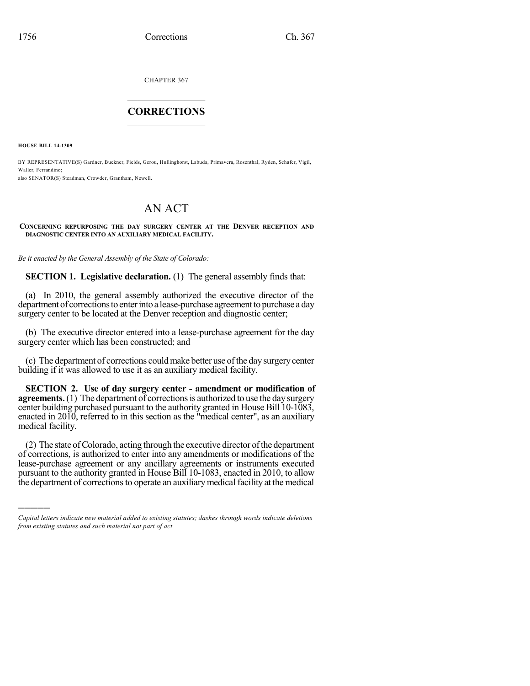CHAPTER 367

## $\overline{\phantom{a}}$  . The set of the set of the set of the set of the set of the set of the set of the set of the set of the set of the set of the set of the set of the set of the set of the set of the set of the set of the set o **CORRECTIONS**  $\frac{1}{2}$  ,  $\frac{1}{2}$  ,  $\frac{1}{2}$  ,  $\frac{1}{2}$  ,  $\frac{1}{2}$  ,  $\frac{1}{2}$

**HOUSE BILL 14-1309**

)))))

BY REPRESENTATIVE(S) Gardner, Buckner, Fields, Gerou, Hullinghorst, Labuda, Primavera, Rosenthal, Ryden, Schafer, Vigil, Waller, Ferrandino; also SENATOR(S) Steadman, Crowder, Grantham, Newell.

## AN ACT

## **CONCERNING REPURPOSING THE DAY SURGERY CENTER AT THE DENVER RECEPTION AND DIAGNOSTIC CENTER INTO AN AUXILIARY MEDICAL FACILITY.**

*Be it enacted by the General Assembly of the State of Colorado:*

**SECTION 1. Legislative declaration.** (1) The general assembly finds that:

(a) In 2010, the general assembly authorized the executive director of the department of corrections to enter into a lease-purchase agreement to purchase a day surgery center to be located at the Denver reception and diagnostic center;

(b) The executive director entered into a lease-purchase agreement for the day surgery center which has been constructed; and

(c) The department of corrections couldmake better use ofthe daysurgerycenter building if it was allowed to use it as an auxiliary medical facility.

**SECTION 2. Use of day surgery center - amendment or modification of agreements.** (1) The department of corrections is authorized to use the day surgery center building purchased pursuant to the authority granted in House Bill 10-1083, enacted in 2010, referred to in this section as the "medical center", as an auxiliary medical facility.

(2) The state ofColorado, acting through the executive director ofthe department of corrections, is authorized to enter into any amendments or modifications of the lease-purchase agreement or any ancillary agreements or instruments executed pursuant to the authority granted in House Bill 10-1083, enacted in 2010, to allow the department of corrections to operate an auxiliary medical facility at the medical

*Capital letters indicate new material added to existing statutes; dashes through words indicate deletions from existing statutes and such material not part of act.*